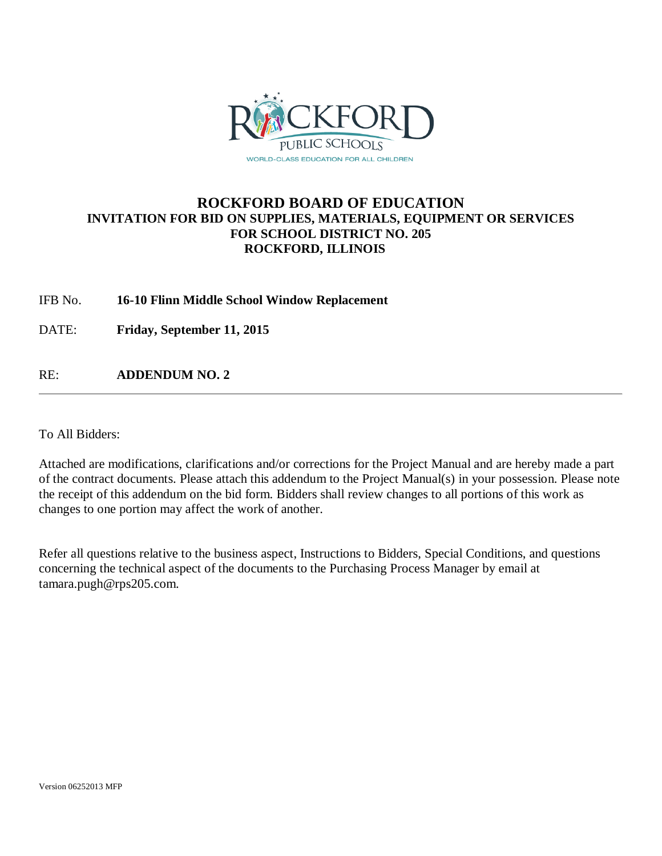

### **ROCKFORD BOARD OF EDUCATION INVITATION FOR BID ON SUPPLIES, MATERIALS, EQUIPMENT OR SERVICES FOR SCHOOL DISTRICT NO. 205 ROCKFORD, ILLINOIS**

### IFB No. **16-10 Flinn Middle School Window Replacement**

DATE: **Friday, September 11, 2015**

RE: **ADDENDUM NO. 2**

To All Bidders:

Attached are modifications, clarifications and/or corrections for the Project Manual and are hereby made a part of the contract documents. Please attach this addendum to the Project Manual(s) in your possession. Please note the receipt of this addendum on the bid form. Bidders shall review changes to all portions of this work as changes to one portion may affect the work of another.

Refer all questions relative to the business aspect, Instructions to Bidders, Special Conditions, and questions concerning the technical aspect of the documents to the Purchasing Process Manager by email at tamara.pugh@rps205.com.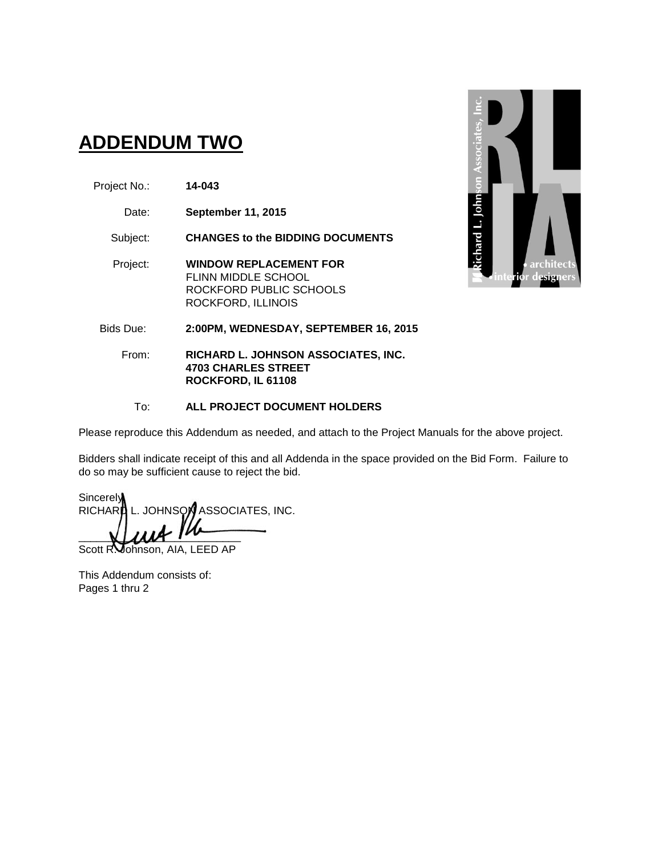# **ADDENDUM TWO**

- Project No.: **14-043**
	- Date: **September 11, 2015**

Subject: **CHANGES to the BIDDING DOCUMENTS**

Project: **WINDOW REPLACEMENT FOR** FLINN MIDDLE SCHOOL ROCKFORD PUBLIC SCHOOLS ROCKFORD, ILLINOIS



From: **RICHARD L. JOHNSON ASSOCIATES, INC. 4703 CHARLES STREET ROCKFORD, IL 61108**

#### To: **ALL PROJECT DOCUMENT HOLDERS**

Please reproduce this Addendum as needed, and attach to the Project Manuals for the above project.

Bidders shall indicate receipt of this and all Addenda in the space provided on the Bid Form. Failure to do so may be sufficient cause to reject the bid.

Sincerely RICHARD L. JOHNSON ASSOCIATES, INC.  $\blacksquare$ 

Scott R. Johnson, AIA, LEED AP

This Addendum consists of: Pages 1 thru 2